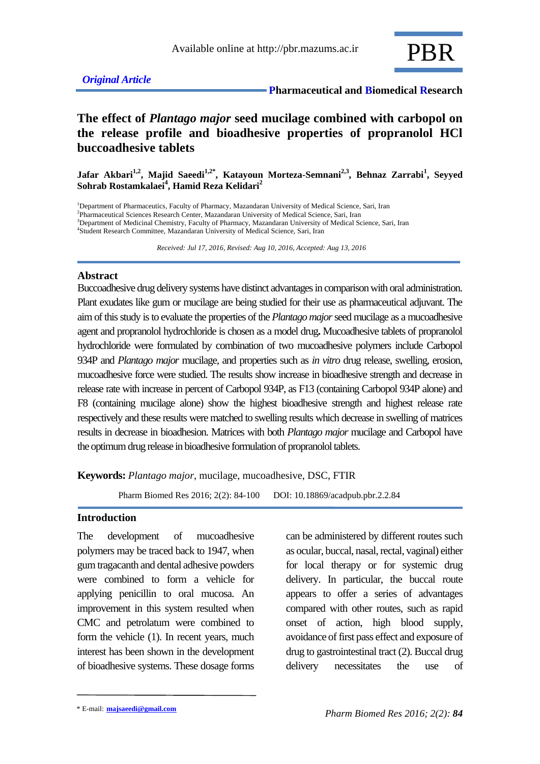

## *Original Article*

 **Pharmaceutical and Biomedical Research**

# **The effect of** *Plantago major* **seed mucilage combined with carbopol on the release profile and bioadhesive properties of propranolol HCl buccoadhesive tablets**

**Jafar Akbari1,2, Majid Saeedi1,2\* , Katayoun Morteza-Semnani2,3, Behnaz Zarrabi<sup>1</sup> , Seyyed Sohrab Rostamkalaei<sup>4</sup> , Hamid Reza Kelidari<sup>2</sup>**

<sup>1</sup>Department of Pharmaceutics, Faculty of Pharmacy, Mazandaran University of Medical Science, Sari, Iran <sup>2</sup>Pharmaceutical Sciences Research Center, Mazandaran University of Medical Science, Sari, Iran <sup>3</sup>Department of Medicinal Chemistry, Faculty of Pharmacy, Mazandaran University of Medical Science, Sari, Iran 4 Student Research Committee, Mazandaran University of Medical Science, Sari, Iran

 *Received: Jul 17, 2016, Revised: Aug 10, 2016, Accepted: Aug 13, 2016*

### **Abstract**

Buccoadhesive drug delivery systems have distinct advantages in comparison with oral administration. Plant exudates like gum or mucilage are being studied for their use as pharmaceutical adjuvant. The aim of this study is to evaluate the properties of the *Plantago major*seed mucilage as a mucoadhesive agent and propranolol hydrochloride is chosen as a model drug**.** Mucoadhesive tablets of propranolol hydrochloride were formulated by combination of two mucoadhesive polymers include Carbopol 934P and *Plantago major* mucilage, and properties such as *in vitro* drug release, swelling, erosion, mucoadhesive force were studied. The results show increase in bioadhesive strength and decrease in release rate with increase in percent of Carbopol 934P, as F13 (containing Carbopol 934P alone) and F8 (containing mucilage alone) show the highest bioadhesive strength and highest release rate respectively and these results were matched to swelling results which decrease in swelling of matrices results in decrease in bioadhesion. Matrices with both *Plantago major* mucilage and Carbopol have the optimum drug release in bioadhesive formulation of propranolol tablets.

**Keywords:** *Plantago major,* mucilage, mucoadhesive, DSC, FTIR

Pharm Biomed Res 2016; 2(2): 84-100 DOI: 10.18869/acadpub.pbr.2.2.84

#### **Introduction**

The development of mucoadhesive polymers may be traced back to 1947, when gum tragacanth and dental adhesive powders were combined to form a vehicle for applying penicillin to oral mucosa. An improvement in this system resulted when CMC and petrolatum were combined to form the vehicle (1). In recent years, much interest has been shown in the development of bioadhesive systems. These dosage forms can be administered by different routes such as ocular, buccal, nasal, rectal, vaginal) either for local therapy or for systemic drug delivery. In particular, the buccal route appears to offer a series of advantages compared with other routes, such as rapid onset of action, high blood supply, avoidance of first pass effect and exposure of drug to gastrointestinal tract (2). Buccal drug delivery necessitates the use of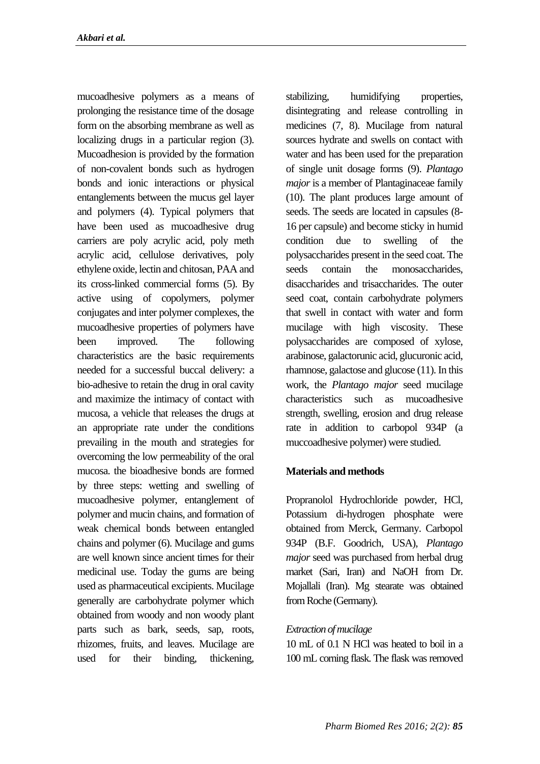mucoadhesive polymers as a means of prolonging the resistance time of the dosage form on the absorbing membrane as well as localizing drugs in a particular region (3). Mucoadhesion is provided by the formation of non-covalent bonds such as hydrogen bonds and ionic interactions or physical entanglements between the mucus gel layer and polymers (4). Typical polymers that have been used as mucoadhesive drug carriers are poly acrylic acid, poly meth acrylic acid, cellulose derivatives, poly ethylene oxide, lectin and chitosan, PAA and its cross-linked commercial forms (5). By active using of copolymers, polymer conjugates and inter polymer complexes, the mucoadhesive properties of polymers have been improved. The following characteristics are the basic requirements needed for a successful buccal delivery: a bio-adhesive to retain the drug in oral cavity and maximize the intimacy of contact with mucosa, a vehicle that releases the drugs at an appropriate rate under the conditions prevailing in the mouth and strategies for overcoming the low permeability of the oral mucosa. the bioadhesive bonds are formed by three steps: wetting and swelling of mucoadhesive polymer, entanglement of polymer and mucin chains, and formation of weak chemical bonds between entangled chains and polymer (6). Mucilage and gums are well known since ancient times for their medicinal use. Today the gums are being used as pharmaceutical excipients. Mucilage generally are carbohydrate polymer which obtained from woody and non woody plant parts such as bark, seeds, sap, roots, rhizomes, fruits, and leaves. Mucilage are used for their binding, thickening,

stabilizing, humidifying properties, disintegrating and release controlling in medicines (7, 8). Mucilage from natural sources hydrate and swells on contact with water and has been used for the preparation of single unit dosage forms (9). *Plantago major* is a member of Plantaginaceae family (10). The plant produces large amount of seeds. The seeds are located in capsules (8- 16 per capsule) and become sticky in humid condition due to swelling of the polysaccharides present in the seed coat. The seeds contain the monosaccharides, disaccharides and trisaccharides. The outer seed coat, contain carbohydrate polymers that swell in contact with water and form mucilage with high viscosity. These polysaccharides are composed of xylose, arabinose, galactorunic acid, glucuronic acid, rhamnose, galactose and glucose (11). In this work, the *Plantago major* seed mucilage characteristics such as mucoadhesive strength, swelling, erosion and drug release rate in addition to carbopol 934P (a muccoadhesive polymer) were studied.

## **Materials and methods**

Propranolol Hydrochloride powder, HCl, Potassium di-hydrogen phosphate were obtained from Merck, Germany. Carbopol 934P (B.F. Goodrich, USA), *Plantago major* seed was purchased from herbal drug market (Sari, Iran) and NaOH from Dr. Mojallali (Iran). Mg stearate was obtained from Roche (Germany).

## *Extraction of mucilage*

10 mL of 0.1 N HCl was heated to boil in a 100 mL corning flask. The flask was removed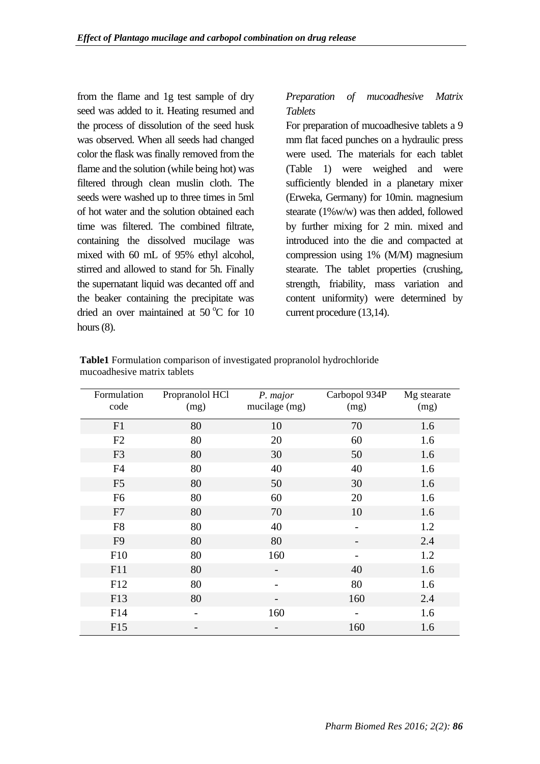from the flame and 1g test sample of dry seed was added to it. Heating resumed and the process of dissolution of the seed husk was observed. When all seeds had changed color the flask was finally removed from the flame and the solution (while being hot) was filtered through clean muslin cloth. The seeds were washed up to three times in 5ml of hot water and the solution obtained each time was filtered. The combined filtrate, containing the dissolved mucilage was mixed with 60 mL of 95% ethyl alcohol, stirred and allowed to stand for 5h. Finally the supernatant liquid was decanted off and the beaker containing the precipitate was dried an over maintained at  $50^{\circ}$ C for 10 hours  $(8)$ .

# *Preparation of mucoadhesive Matrix Tablets*

For preparation of mucoadhesive tablets a 9 mm flat faced punches on a hydraulic press were used. The materials for each tablet (Table 1) were weighed and were sufficiently blended in a planetary mixer (Erweka, Germany) for 10min. magnesium stearate (1%w/w) was then added, followed by further mixing for 2 min. mixed and introduced into the die and compacted at compression using 1% (M/M) magnesium stearate. The tablet properties (crushing, strength, friability, mass variation and content uniformity) were determined by current procedure (13,14).

| Formulation<br>code | Propranolol HCl<br>(mg) | P. major<br>mucilage (mg) | Carbopol 934P<br>(mg) | Mg stearate<br>(mg) |  |
|---------------------|-------------------------|---------------------------|-----------------------|---------------------|--|
| F1                  | 80                      | 10                        | 70                    | 1.6                 |  |
| F2                  | 80                      | 20                        | 60                    | 1.6                 |  |
| F <sub>3</sub>      | 80                      | 30                        | 50                    | 1.6                 |  |
| F4                  | 80                      | 40                        | 40                    | 1.6                 |  |
| F <sub>5</sub>      | 80                      | 50                        | 30                    | 1.6                 |  |
| F <sub>6</sub>      | 80                      | 60                        | 20                    | 1.6                 |  |
| F7                  | 80                      | 70                        | 10                    | 1.6                 |  |
| F <sub>8</sub>      | 80                      | 40                        |                       | 1.2                 |  |
| F <sub>9</sub>      | 80                      | 80                        |                       | 2.4                 |  |
| F10                 | 80                      | 160                       |                       | 1.2                 |  |
| F11                 | 80                      |                           | 40                    | 1.6                 |  |
| F12                 | 80                      |                           | 80                    | 1.6                 |  |
| F13                 | 80                      |                           | 160                   | 2.4                 |  |
| F14                 |                         | 160                       |                       | 1.6                 |  |
| F15                 |                         |                           | 160                   | 1.6                 |  |

**Table1** Formulation comparison of investigated propranolol hydrochloride mucoadhesive matrix tablets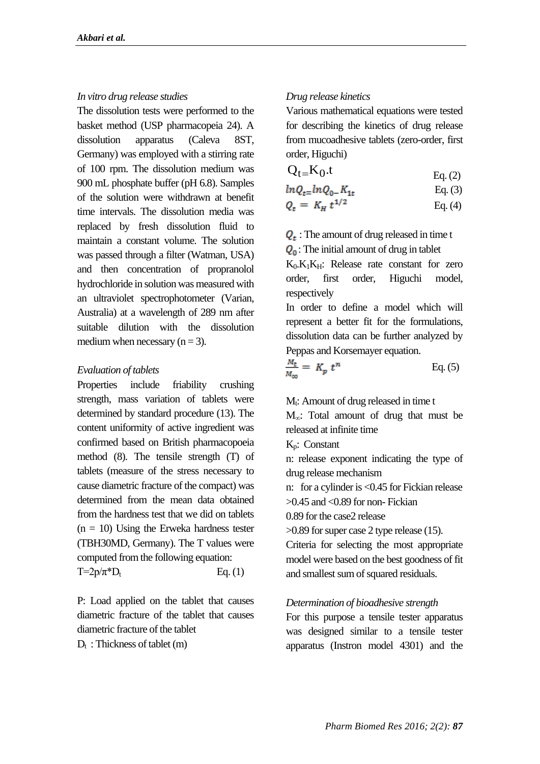#### *In vitro drug release studies*

The dissolution tests were performed to the basket method (USP pharmacopeia 24). A dissolution apparatus (Caleva 8ST, Germany) was employed with a stirring rate of 100 rpm. The dissolution medium was 900 mL phosphate buffer (pH 6.8). Samples of the solution were withdrawn at benefit time intervals. The dissolution media was replaced by fresh dissolution fluid to maintain a constant volume. The solution was passed through a filter (Watman, USA) and then concentration of propranolol hydrochloride in solution was measured with an ultraviolet spectrophotometer (Varian, Australia) at a wavelength of 289 nm after suitable dilution with the dissolution medium when necessary  $(n = 3)$ .

#### *Evaluation of tablets*

Properties include friability crushing strength, mass variation of tablets were determined by standard procedure (13). The content uniformity of active ingredient was confirmed based on British pharmacopoeia method (8). The tensile strength (T) of tablets (measure of the stress necessary to cause diametric fracture of the compact) was determined from the mean data obtained from the hardness test that we did on tablets  $(n = 10)$  Using the Erweka hardness tester (TBH30MD, Germany). The T values were computed from the following equation:  $T=2p/\pi^*D_t$  Eq. (1)

P: Load applied on the tablet that causes diametric fracture of the tablet that causes diametric fracture of the tablet

 $D_t$ : Thickness of tablet  $(m)$ 

### *Drug release kinetics*

Various mathematical equations were tested for describing the kinetics of drug release from mucoadhesive tablets (zero-order, first order, Higuchi)

$$
Q_{t=}K_0.t \tEq. (2)
$$

$$
ln Q_{t=1} ln Q_{0-} K_{1t}
$$
 Eq. (3)

$$
Q_t = K_H t^{1/2} \qquad \qquad \text{Eq. (4)}
$$

 $Q_t$ : The amount of drug released in time t

 $Q_0$ : The initial amount of drug in tablet

 $K_0, K_1K_H$ : Release rate constant for zero order, first order, Higuchi model, respectively

In order to define a model which will represent a better fit for the formulations, dissolution data can be further analyzed by Peppas and Korsemayer equation.

$$
\frac{M_t}{M_{\infty}} = K_p t^n
$$
 Eq. (5)

 $M_t$ : Amount of drug released in time t

M∞: Total amount of drug that must be released at infinite time

Kp: Constant

n: release exponent indicating the type of drug release mechanism

n: for a cylinder is <0.45 for Fickian release  $>0.45$  and  $< 0.89$  for non-Fickian

0.89 for the case2 release

>0.89 for super case 2 type release (15).

Criteria for selecting the most appropriate model were based on the best goodness of fit and smallest sum of squared residuals.

#### *Determination of bioadhesive strength*

For this purpose a tensile tester apparatus was designed similar to a tensile tester apparatus (Instron model 4301) and the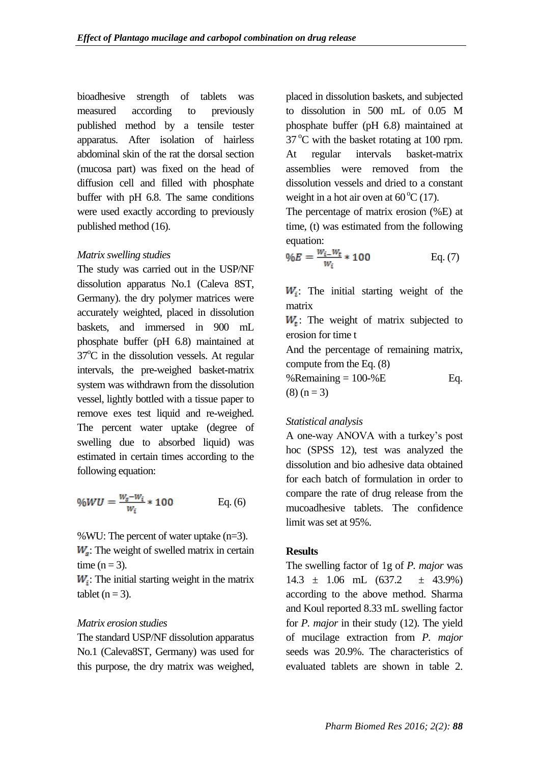bioadhesive strength of tablets was measured according to previously published method by a tensile tester apparatus. After isolation of hairless abdominal skin of the rat the dorsal section (mucosa part) was fixed on the head of diffusion cell and filled with phosphate buffer with pH 6.8. The same conditions were used exactly according to previously published method (16).

#### *Matrix swelling studies*

The study was carried out in the USP/NF dissolution apparatus No.1 (Caleva 8ST, Germany). the dry polymer matrices were accurately weighted, placed in dissolution baskets, and immersed in 900 mL phosphate buffer (pH 6.8) maintained at  $37^{\circ}$ C in the dissolution vessels. At regular intervals, the pre-weighed basket-matrix system was withdrawn from the dissolution vessel, lightly bottled with a tissue paper to remove exes test liquid and re-weighed. The percent water uptake (degree of swelling due to absorbed liquid) was estimated in certain times according to the following equation:

$$
\%WU = \frac{w_s - w_i}{w_i} * 100
$$
 Eq. (6)

%WU: The percent of water uptake (n=3).

 $W<sub>s</sub>$ : The weight of swelled matrix in certain time  $(n = 3)$ .

 $W_i$ : The initial starting weight in the matrix tablet  $(n = 3)$ .

## *Matrix erosion studies*

The standard USP/NF dissolution apparatus No.1 (Caleva8ST, Germany) was used for this purpose, the dry matrix was weighed,

placed in dissolution baskets, and subjected to dissolution in 500 mL of 0.05 M phosphate buffer (pH 6.8) maintained at  $37^{\circ}$ C with the basket rotating at 100 rpm. At regular intervals basket-matrix assemblies were removed from the dissolution vessels and dried to a constant weight in a hot air oven at  $60^{\circ}$ C (17).

The percentage of matrix erosion (%E) at time, (t) was estimated from the following equation:

$$
\%E = \frac{w_{i-}w_{t}}{w_i} * 100
$$
 Eq. (7)

 $W_i$ : The initial starting weight of the matrix

 $W_t$ : The weight of matrix subjected to erosion for time t

And the percentage of remaining matrix, compute from the Eq. (8)

%Remaining  $= 100 - %E$  Eq.  $(8) (n = 3)$ 

## *Statistical analysis*

A one-way ANOVA with a turkey's post hoc (SPSS 12), test was analyzed the dissolution and bio adhesive data obtained for each batch of formulation in order to compare the rate of drug release from the mucoadhesive tablets. The confidence limit was set at 95%.

### **Results**

The swelling factor of 1g of *P. major* was  $14.3 \pm 1.06 \text{ mL} (637.2 \pm 43.9\%)$ according to the above method. Sharma and Koul reported 8.33 mL swelling factor for *P. major* in their study (12). The yield of mucilage extraction from *P. major* seeds was 20.9%. The characteristics of evaluated tablets are shown in table 2.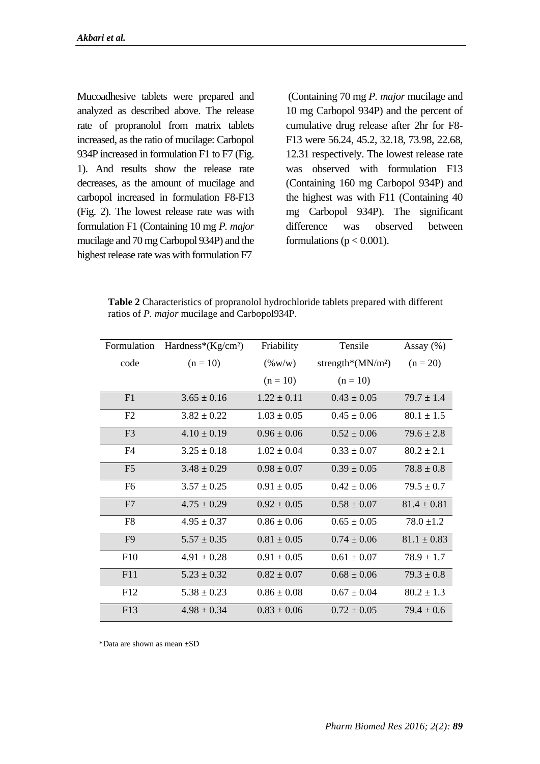Mucoadhesive tablets were prepared and analyzed as described above. The release rate of propranolol from matrix tablets increased, as the ratio of mucilage: Carbopol 934P increased in formulation F1 to F7 (Fig. 1). And results show the release rate decreases, as the amount of mucilage and carbopol increased in formulation F8-F13 (Fig. 2). The lowest release rate was with formulation F1 (Containing 10 mg *P. major* mucilage and 70 mg Carbopol 934P) and the highest release rate was with formulation F7

(Containing 70 mg *P. major* mucilage and 10 mg Carbopol 934P) and the percent of cumulative drug release after 2hr for F8- F13 were 56.24, 45.2, 32.18, 73.98, 22.68, 12.31 respectively. The lowest release rate was observed with formulation F13 (Containing 160 mg Carbopol 934P) and the highest was with F11 (Containing 40 mg Carbopol 934P). The significant difference was observed between formulations ( $p < 0.001$ ).

**Table 2** Characteristics of propranolol hydrochloride tablets prepared with different ratios of *P. major* mucilage and Carbopol934P.

| Formulation    | Hardness*(Kg/cm <sup>2</sup> ) | Friability      | Tensile              |                 |
|----------------|--------------------------------|-----------------|----------------------|-----------------|
| code           | $(n = 10)$                     | $(\%w/w)$       | strength*( $MN/m2$ ) |                 |
|                |                                | $(n = 10)$      | $(n = 10)$           |                 |
| F1             | $3.65 \pm 0.16$                | $1.22 \pm 0.11$ | $0.43 \pm 0.05$      | $79.7 \pm 1.4$  |
| F2             | $3.82 \pm 0.22$                | $1.03 \pm 0.05$ | $0.45 \pm 0.06$      | $80.1 \pm 1.5$  |
| F <sub>3</sub> | $4.10 \pm 0.19$                | $0.96 \pm 0.06$ | $0.52 \pm 0.06$      | $79.6 \pm 2.8$  |
| F <sub>4</sub> | $3.25 \pm 0.18$                | $1.02 \pm 0.04$ | $0.33 \pm 0.07$      | $80.2 \pm 2.1$  |
| F <sub>5</sub> | $3.48 \pm 0.29$                | $0.98 \pm 0.07$ | $0.39 \pm 0.05$      | $78.8 \pm 0.8$  |
| F <sub>6</sub> | $3.57 \pm 0.25$                | $0.91 \pm 0.05$ | $0.42 \pm 0.06$      | $79.5 \pm 0.7$  |
| F7             | $4.75 \pm 0.29$                | $0.92 \pm 0.05$ | $0.58 \pm 0.07$      | $81.4 \pm 0.81$ |
| F <sub>8</sub> | $4.95 \pm 0.37$                | $0.86 \pm 0.06$ | $0.65 \pm 0.05$      | $78.0 \pm 1.2$  |
| F <sub>9</sub> | $5.57 \pm 0.35$                | $0.81 \pm 0.05$ | $0.74 \pm 0.06$      | $81.1 \pm 0.83$ |
| F10            | $4.91 \pm 0.28$                | $0.91 \pm 0.05$ | $0.61 \pm 0.07$      | $78.9 \pm 1.7$  |
| F11            | $5.23 \pm 0.32$                | $0.82 \pm 0.07$ | $0.68 \pm 0.06$      | $79.3 \pm 0.8$  |
| F12            | $5.38 \pm 0.23$                | $0.86 \pm 0.08$ | $0.67 \pm 0.04$      | $80.2 \pm 1.3$  |
| F13            | $4.98 \pm 0.34$                | $0.83 \pm 0.06$ | $0.72 \pm 0.05$      | $79.4 \pm 0.6$  |

\*Data are shown as mean ±SD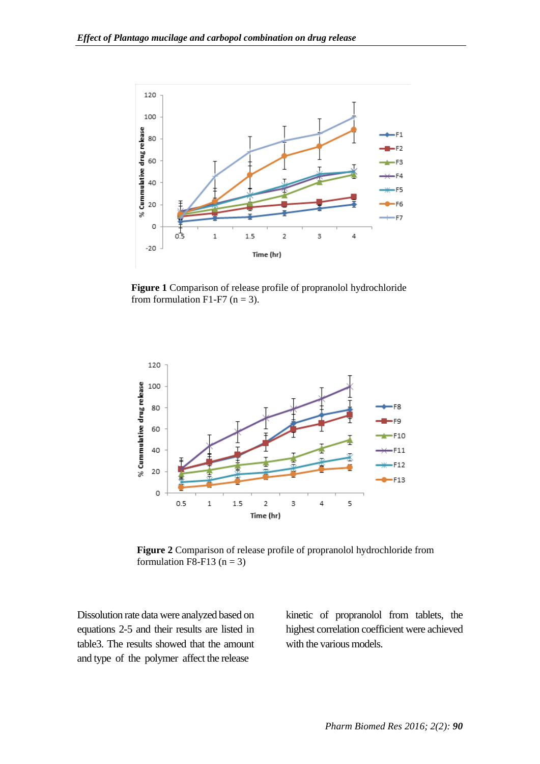

**Figure 1** Comparison of release profile of propranolol hydrochloride from formulation F1-F7 ( $n = 3$ ).



**Figure 2** Comparison of release profile of propranolol hydrochloride from formulation F8-F13 ( $n = 3$ )

Dissolution rate data were analyzed based on equations 2-5 and their results are listed in table3. The results showed that the amount and type of the polymer affect the release

kinetic of propranolol from tablets, the highest correlation coefficient were achieved with the various models.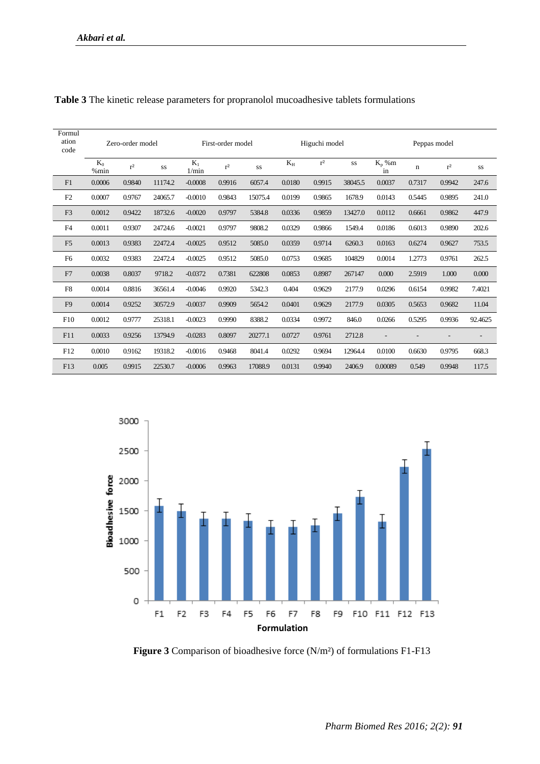| Formul<br>ation<br>code | Zero-order model |        | First-order model |                | Higuchi model |         |        | Peppas model |         |                |        |           |         |
|-------------------------|------------------|--------|-------------------|----------------|---------------|---------|--------|--------------|---------|----------------|--------|-----------|---------|
|                         | $K_0$<br>% min   | $r^2$  | SS                | $K_1$<br>1/min | $r^2$         | SS      | $K_H$  | $r^2$        | SS      | $K_p$ %m<br>in | n      | $\rm r^2$ | SS      |
| F1                      | 0.0006           | 0.9840 | 11174.2           | $-0.0008$      | 0.9916        | 6057.4  | 0.0180 | 0.9915       | 38045.5 | 0.0037         | 0.7317 | 0.9942    | 247.6   |
| F <sub>2</sub>          | 0.0007           | 0.9767 | 24065.7           | $-0.0010$      | 0.9843        | 15075.4 | 0.0199 | 0.9865       | 1678.9  | 0.0143         | 0.5445 | 0.9895    | 241.0   |
| F <sub>3</sub>          | 0.0012           | 0.9422 | 18732.6           | $-0.0020$      | 0.9797        | 5384.8  | 0.0336 | 0.9859       | 13427.0 | 0.0112         | 0.6661 | 0.9862    | 447.9   |
| F <sub>4</sub>          | 0.0011           | 0.9307 | 24724.6           | $-0.0021$      | 0.9797        | 9808.2  | 0.0329 | 0.9866       | 1549.4  | 0.0186         | 0.6013 | 0.9890    | 202.6   |
| F <sub>5</sub>          | 0.0013           | 0.9383 | 22472.4           | $-0.0025$      | 0.9512        | 5085.0  | 0.0359 | 0.9714       | 6260.3  | 0.0163         | 0.6274 | 0.9627    | 753.5   |
| F <sub>6</sub>          | 0.0032           | 0.9383 | 22472.4           | $-0.0025$      | 0.9512        | 5085.0  | 0.0753 | 0.9685       | 104829  | 0.0014         | 1.2773 | 0.9761    | 262.5   |
| F7                      | 0.0038           | 0.8037 | 9718.2            | $-0.0372$      | 0.7381        | 622808  | 0.0853 | 0.8987       | 267147  | 0.000          | 2.5919 | 1.000     | 0.000   |
| F8                      | 0.0014           | 0.8816 | 36561.4           | $-0.0046$      | 0.9920        | 5342.3  | 0.404  | 0.9629       | 2177.9  | 0.0296         | 0.6154 | 0.9982    | 7.4021  |
| F <sub>9</sub>          | 0.0014           | 0.9252 | 30572.9           | $-0.0037$      | 0.9909        | 5654.2  | 0.0401 | 0.9629       | 2177.9  | 0.0305         | 0.5653 | 0.9682    | 11.04   |
| F10                     | 0.0012           | 0.9777 | 25318.1           | $-0.0023$      | 0.9990        | 8388.2  | 0.0334 | 0.9972       | 846.0   | 0.0266         | 0.5295 | 0.9936    | 92.4625 |
| F11                     | 0.0033           | 0.9256 | 13794.9           | $-0.0283$      | 0.8097        | 20277.1 | 0.0727 | 0.9761       | 2712.8  |                |        |           |         |
| F12                     | 0.0010           | 0.9162 | 19318.2           | $-0.0016$      | 0.9468        | 8041.4  | 0.0292 | 0.9694       | 12964.4 | 0.0100         | 0.6630 | 0.9795    | 668.3   |
| F13                     | 0.005            | 0.9915 | 22530.7           | $-0.0006$      | 0.9963        | 17088.9 | 0.0131 | 0.9940       | 2406.9  | 0.00089        | 0.549  | 0.9948    | 117.5   |



**Figure 3** Comparison of bioadhesive force (N/m²) of formulations F1-F13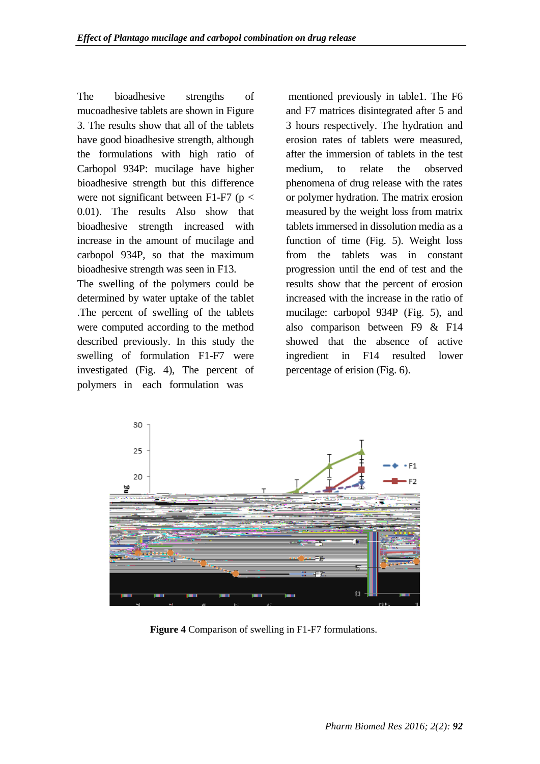The bioadhesive strengths of mucoadhesive tablets are shown in Figure 3. The results show that all of the tablets have good bioadhesive strength, although the formulations with high ratio of Carbopol 934P: mucilage have higher bioadhesive strength but this difference were not significant between F1-F7 ( $p <$ 0.01). The results Also show that bioadhesive strength increased with increase in the amount of mucilage and carbopol 934P, so that the maximum bioadhesive strength was seen in F13.

The swelling of the polymers could be determined by water uptake of the tablet .The percent of swelling of the tablets were computed according to the method described previously. In this study the swelling of formulation F1-F7 were investigated (Fig. 4), The percent of polymers in each formulation was

mentioned previously in table1. The F6 and F7 matrices disintegrated after 5 and 3 hours respectively. The hydration and erosion rates of tablets were measured, after the immersion of tablets in the test medium, to relate the observed phenomena of drug release with the rates or polymer hydration. The matrix erosion measured by the weight loss from matrix tablets immersed in dissolution media as a function of time (Fig. 5). Weight loss from the tablets was in constant progression until the end of test and the results show that the percent of erosion increased with the increase in the ratio of mucilage: carbopol 934P (Fig. 5), and also comparison between F9 & F14 showed that the absence of active ingredient in F14 resulted lower percentage of erision (Fig. 6).



**Figure 4** Comparison of swelling in F1-F7 formulations.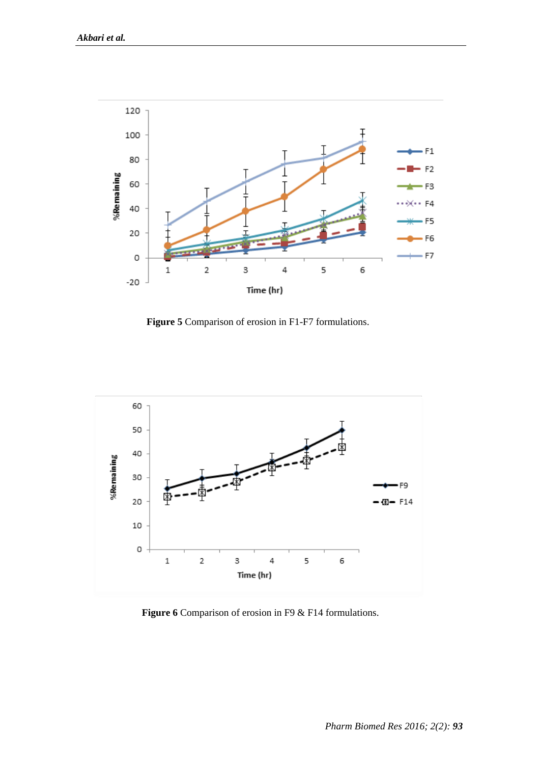

**Figure 5** Comparison of erosion in F1-F7 formulations.



**Figure 6** Comparison of erosion in F9 & F14 formulations.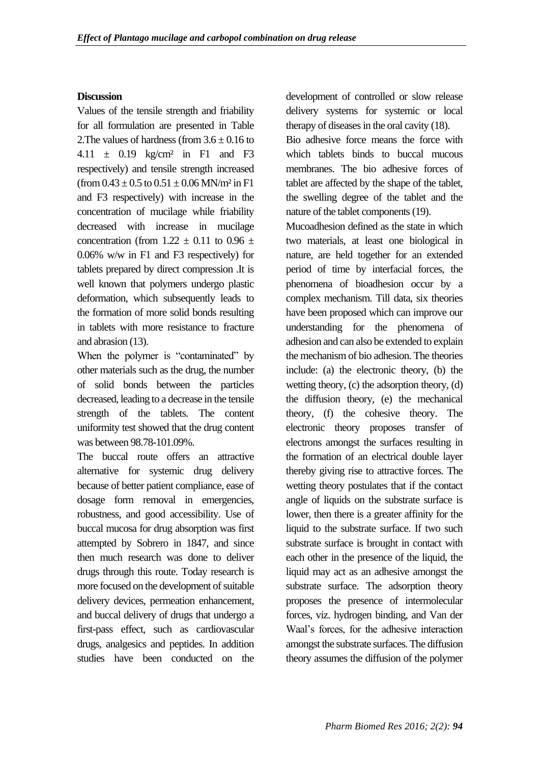## **Discussion**

Values of the tensile strength and friability for all formulation are presented in Table 2. The values of hardness (from  $3.6 \pm 0.16$  to 4.11  $\pm$  0.19 kg/cm<sup>2</sup> in F1 and F3 respectively) and tensile strength increased (from  $0.43 \pm 0.5$  to  $0.51 \pm 0.06$  MN/m<sup>2</sup> in F1 and F3 respectively) with increase in the concentration of mucilage while friability decreased with increase in mucilage concentration (from  $1.22 \pm 0.11$  to  $0.96 \pm$ 0.06% w/w in F1 and F3 respectively) for tablets prepared by direct compression .It is well known that polymers undergo plastic deformation, which subsequently leads to the formation of more solid bonds resulting in tablets with more resistance to fracture and abrasion (13).

When the polymer is "contaminated" by other materials such as the drug, the number of solid bonds between the particles decreased, leading to a decrease in the tensile strength of the tablets. The content uniformity test showed that the drug content was between 98.78-101.09%.

The buccal route offers an attractive alternative for systemic drug delivery because of better patient compliance, ease of dosage form removal in emergencies, robustness, and good accessibility. Use of buccal mucosa for drug absorption was first attempted by Sobrero in 1847, and since then much research was done to deliver drugs through this route. Today research is more focused on the development of suitable delivery devices, permeation enhancement, and buccal delivery of drugs that undergo a first-pass effect, such as cardiovascular drugs, analgesics and peptides. In addition studies have been conducted on the development of controlled or slow release delivery systems for systemic or local therapy of diseases in the oral cavity (18).

Bio adhesive force means the force with which tablets binds to buccal mucous membranes. The bio adhesive forces of tablet are affected by the shape of the tablet, the swelling degree of the tablet and the nature of the tablet components (19).

Mucoadhesion defined as the state in which two materials, at least one biological in nature, are held together for an extended period of time by interfacial forces, the phenomena of bioadhesion occur by a complex mechanism. Till data, six theories have been proposed which can improve our understanding for the phenomena of adhesion and can also be extended to explain the mechanism of bio adhesion. The theories include: (a) the electronic theory, (b) the wetting theory, (c) the adsorption theory, (d) the diffusion theory, (e) the mechanical theory, (f) the cohesive theory. The electronic theory proposes transfer of electrons amongst the surfaces resulting in the formation of an electrical double layer thereby giving rise to attractive forces. The wetting theory postulates that if the contact angle of liquids on the substrate surface is lower, then there is a greater affinity for the liquid to the substrate surface. If two such substrate surface is brought in contact with each other in the presence of the liquid, the liquid may act as an adhesive amongst the substrate surface. The adsorption theory proposes the presence of intermolecular forces, viz. hydrogen binding, and Van der Waal's forces, for the adhesive interaction amongst the substrate surfaces. The diffusion theory assumes the diffusion of the polymer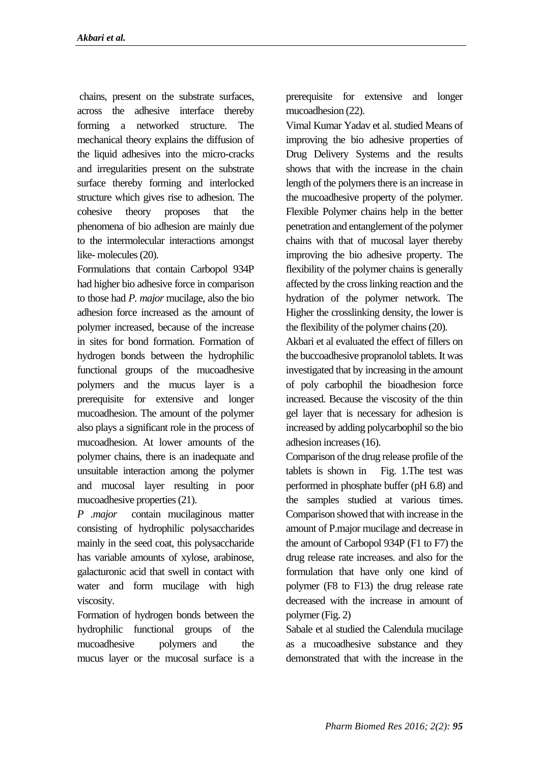chains, present on the substrate surfaces, across the adhesive interface thereby forming a networked structure. The mechanical theory explains the diffusion of the liquid adhesives into the micro-cracks and irregularities present on the substrate surface thereby forming and interlocked structure which gives rise to adhesion. The cohesive theory proposes that the phenomena of bio adhesion are mainly due to the intermolecular interactions amongst like- molecules (20).

Formulations that contain Carbopol 934P had higher bio adhesive force in comparison to those had *P. major* mucilage, also the bio adhesion force increased as the amount of polymer increased, because of the increase in sites for bond formation. Formation of hydrogen bonds between the hydrophilic functional groups of the mucoadhesive polymers and the mucus layer is a prerequisite for extensive and longer mucoadhesion. The amount of the polymer also plays a significant role in the process of mucoadhesion. At lower amounts of the polymer chains, there is an inadequate and unsuitable interaction among the polymer and mucosal layer resulting in poor mucoadhesive properties (21).

*P .major* contain mucilaginous matter consisting of hydrophilic polysaccharides mainly in the seed coat, this polysaccharide has variable amounts of xylose, arabinose, galacturonic acid that swell in contact with water and form mucilage with high viscosity.

Formation of hydrogen bonds between the hydrophilic functional groups of the mucoadhesive polymers and the mucus layer or the mucosal surface is a prerequisite for extensive and longer mucoadhesion (22).

Vimal Kumar Yadav et al.studied Means of improving the bio adhesive properties of Drug Delivery Systems and the results shows that with the increase in the chain length of the polymers there is an increase in the mucoadhesive property of the polymer. Flexible Polymer chains help in the better penetration and entanglement of the polymer chains with that of mucosal layer thereby improving the bio adhesive property. The flexibility of the polymer chains is generally affected by the cross linking reaction and the hydration of the polymer network. The Higher the crosslinking density, the lower is the flexibility of the polymer chains (20).

Akbari et al evaluated the effect of fillers on the buccoadhesive propranolol tablets. It was investigated that by increasing in the amount of poly carbophil the bioadhesion force increased. Because the viscosity of the thin gel layer that is necessary for adhesion is increased by adding polycarbophil so the bio adhesion increases (16).

Comparison of the drug release profile of the tablets is shown in Fig. 1.The test was performed in phosphate buffer (pH 6.8) and the samples studied at various times. Comparison showed that with increase in the amount of P.major mucilage and decrease in the amount of Carbopol 934P (F1 to F7) the drug release rate increases. and also for the formulation that have only one kind of polymer (F8 to F13) the drug release rate decreased with the increase in amount of polymer (Fig. 2)

Sabale et al studied the Calendula mucilage as a mucoadhesive substance and they demonstrated that with the increase in the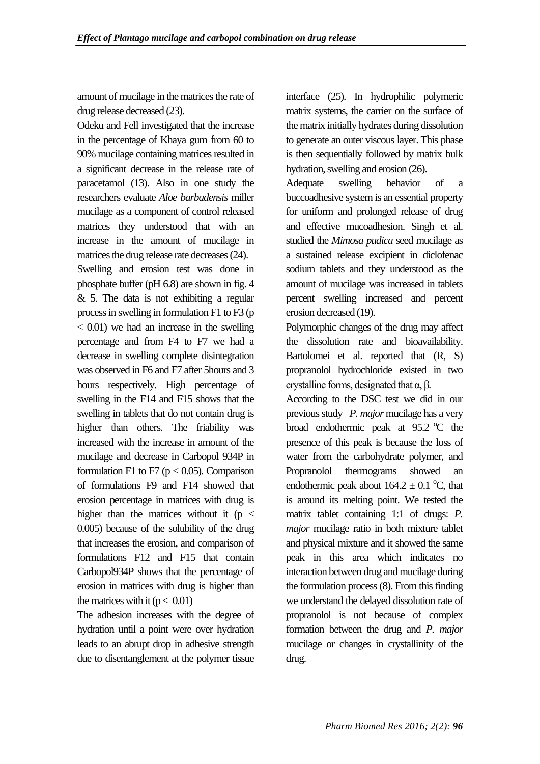amount of mucilage in the matrices the rate of drug release decreased (23).

Odeku and Fell investigated that the increase in the percentage of Khaya gum from 60 to 90% mucilage containing matrices resulted in a significant decrease in the release rate of paracetamol (13). Also in one study the researchers evaluate *Aloe barbadensis* miller mucilage as a component of control released matrices they understood that with an increase in the amount of mucilage in matrices the drug release rate decreases (24).

Swelling and erosion test was done in phosphate buffer (pH 6.8) are shown in fig. 4  $& 5.$  The data is not exhibiting a regular process in swelling in formulation F1 to F3 (p < 0.01) we had an increase in the swelling percentage and from F4 to F7 we had a decrease in swelling complete disintegration was observed in F6 and F7 after 5hours and 3 hours respectively. High percentage of swelling in the F14 and F15 shows that the swelling in tablets that do not contain drug is higher than others. The friability was increased with the increase in amount of the mucilage and decrease in Carbopol 934P in formulation F1 to F7 ( $p < 0.05$ ). Comparison of formulations F9 and F14 showed that erosion percentage in matrices with drug is higher than the matrices without it ( $p <$ 0.005) because of the solubility of the drug that increases the erosion, and comparison of formulations F12 and F15 that contain Carbopol934P shows that the percentage of erosion in matrices with drug is higher than the matrices with it  $(p < 0.01)$ 

The adhesion increases with the degree of hydration until a point were over hydration leads to an abrupt drop in adhesive strength due to disentanglement at the polymer tissue

interface (25). In hydrophilic polymeric matrix systems, the carrier on the surface of the matrix initially hydrates during dissolution to generate an outer viscous layer. This phase is then sequentially followed by matrix bulk hydration, swelling and erosion (26).

Adequate swelling behavior of a buccoadhesive system is an essential property for uniform and prolonged release of drug and effective mucoadhesion. Singh et al. studied the *Mimosa pudica* seed mucilage as a sustained release excipient in diclofenac sodium tablets and they understood as the amount of mucilage was increased in tablets percent swelling increased and percent erosion decreased (19).

Polymorphic changes of the drug may affect the dissolution rate and bioavailability. Bartolomei et al. reported that (R, S) propranolol hydrochloride existed in two crystalline forms, designated that α, β*.*

According to the DSC test we did in our previous study *P. major* mucilage has a very broad endothermic peak at  $95.2 \text{ °C}$  the presence of this peak is because the loss of water from the carbohydrate polymer, and Propranolol thermograms showed an endothermic peak about  $164.2 \pm 0.1$  °C, that is around its melting point. We tested the matrix tablet containing 1:1 of drugs: *P. major* mucilage ratio in both mixture tablet and physical mixture and it showed the same peak in this area which indicates no interaction between drug and mucilage during the formulation process (8). From this finding we understand the delayed dissolution rate of propranolol is not because of complex formation between the drug and *P. major* mucilage or changes in crystallinity of the drug.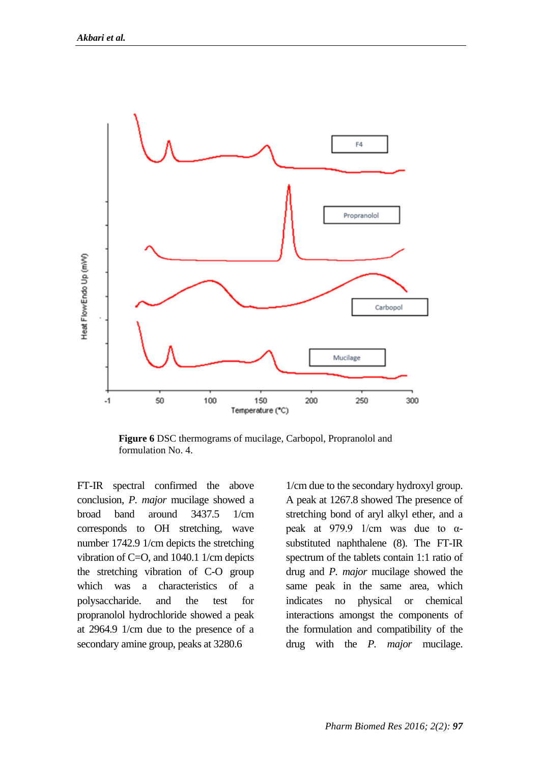

**Figure 6** DSC thermograms of mucilage, Carbopol, Propranolol and formulation No. 4.

FT-IR spectral confirmed the above conclusion, *P. major* mucilage showed a broad band around 3437.5 1/cm corresponds to OH stretching, wave number 1742.9 1/cm depicts the stretching vibration of C=O, and 1040.1 1/cm depicts the stretching vibration of C-O group which was a characteristics of a polysaccharide. and the test for propranolol hydrochloride showed a peak at 2964.9 1/cm due to the presence of a secondary amine group, peaks at 3280.6

1/cm due to the secondary hydroxyl group. A peak at 1267.8 showed The presence of stretching bond of aryl alkyl ether, and a peak at 979.9 1/cm was due to αsubstituted naphthalene (8). The FT-IR spectrum of the tablets contain 1:1 ratio of drug and *P. major* mucilage showed the same peak in the same area, which indicates no physical or chemical interactions amongst the components of the formulation and compatibility of the drug with the *P. major* mucilage.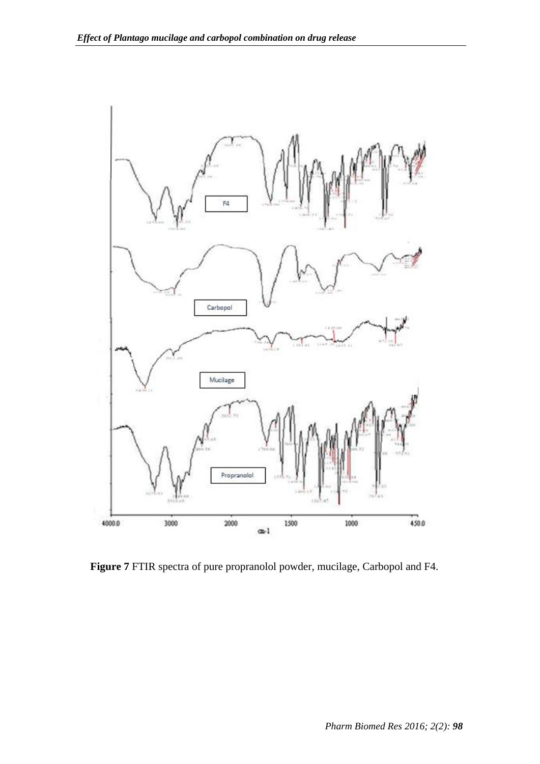

**Figure 7** FTIR spectra of pure propranolol powder, mucilage, Carbopol and F4.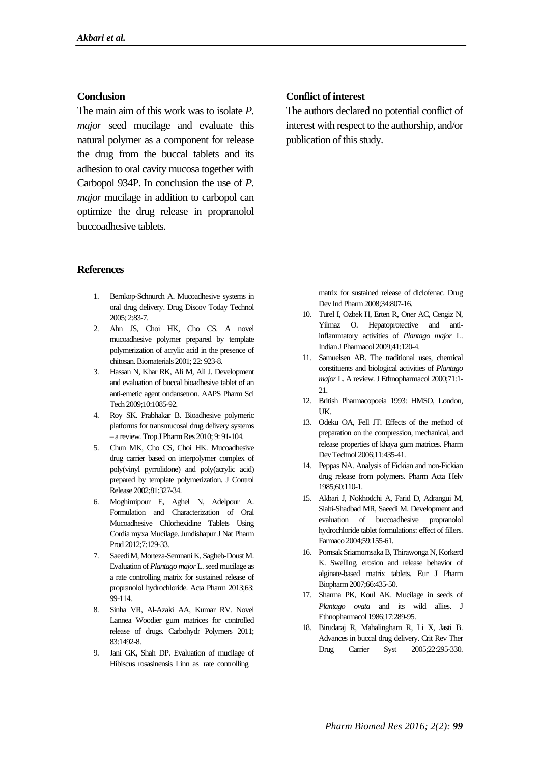#### **Conclusion**

The main aim of this work was to isolate *P. major* seed mucilage and evaluate this natural polymer as a component for release the drug from the buccal tablets and its adhesion to oral cavity mucosa together with Carbopol 934P. In conclusion the use of *P. major* mucilage in addition to carbopol can optimize the drug release in propranolol buccoadhesive tablets.

#### **References**

- 1. Bernkop-Schnurch A. Mucoadhesive systems in oral drug delivery. Drug Discov Today Technol 2005; 2:83-7.
- 2. Ahn JS, Choi HK, Cho CS. A novel mucoadhesive polymer prepared by template polymerization of acrylic acid in the presence of chitosan.Biomaterials 2001; 22: 923-8.
- 3. Hassan N, Khar RK, Ali M, Ali J. Development and evaluation of buccal bioadhesive tablet of an anti-emetic agent ondansetron. AAPS Pharm Sci Tech 2009;10:1085-92.
- 4. Roy SK. Prabhakar B. Bioadhesive polymeric platforms for transmucosal drug delivery systems – a review*.*Trop J Pharm Res 2010; 9: 91-104.
- 5. Chun MK, Cho CS, Choi HK. Mucoadhesive drug carrier based on interpolymer complex of poly(vinyl pyrrolidone) and poly(acrylic acid) prepared by template polymerization. J Control Release 2002;81:327-34.
- 6. Moghimipour E, Aghel N, Adelpour A. Formulation and Characterization of Oral Mucoadhesive Chlorhexidine Tablets Using Cordia myxa Mucilage.Jundishapur J Nat Pharm Prod 2012;7:129-33.
- 7. Saeedi M, Morteza-Semnani K, Sagheb-Doust M. Evaluation of *Plantago major*L. seed mucilage as a rate controlling matrix for sustained release of propranolol hydrochloride. Acta Pharm 2013;63: 99-114.
- 8. Sinha VR, Al-Azaki AA, Kumar RV. Novel Lannea Woodier gum matrices for controlled release of drugs. Carbohydr Polymers 2011; 83:1492-8.
- 9. Jani GK, Shah DP. Evaluation of mucilage of Hibiscus rosasinensis Linn as rate controlling

#### **Conflict of interest**

The authors declared no potential conflict of interest with respect to the authorship, and/or publication of this study.

> matrix for sustained release of diclofenac. Drug Dev Ind Pharm 2008;34:807-16.

- 10. Turel I, Ozbek H, Erten R, Oner AC, Cengiz N, Yilmaz O. Hepatoprotective and antiinflammatory activities of *Plantago major* L. Indian J Pharmacol 2009;41:120-4.
- 11. Samuelsen AB. The traditional uses, chemical constituents and biological activities of *Plantago major* L. A review*.*J Ethnopharmacol 2000;71:1- 21.
- 12. British Pharmacopoeia 1993: HMSO, London, **IK**
- 13. Odeku OA, Fell JT. Effects of the method of preparation on the compression, mechanical, and release properties of khaya gum matrices. Pharm Dev Technol 2006;11:435-41.
- 14. Peppas NA. Analysis of Fickian and non-Fickian drug release from polymers. Pharm Acta Helv 1985;60:110-1.
- 15. Akbari J, Nokhodchi A, Farid D, Adrangui M, Siahi-Shadbad MR, Saeedi M. Development and evaluation of buccoadhesive propranolol hydrochloride tablet formulations: effect of fillers. Farmaco 2004;59:155-61.
- 16. Pornsak Sriamornsaka B, Thirawonga N, Korkerd K. Swelling, erosion and release behavior of alginate-based matrix tablets. Eur J Pharm Biopharm 2007;66:435-50.
- 17. Sharma PK, Koul AK. Mucilage in seeds of *Plantago ovata* and its wild allies. J Ethnopharmacol 1986;17:289-95.
- 18. Birudaraj R, Mahalingham R, Li X, Jasti B. Advances in buccal drug delivery. Crit Rev Ther Drug Carrier Syst 2005;22:295-330.